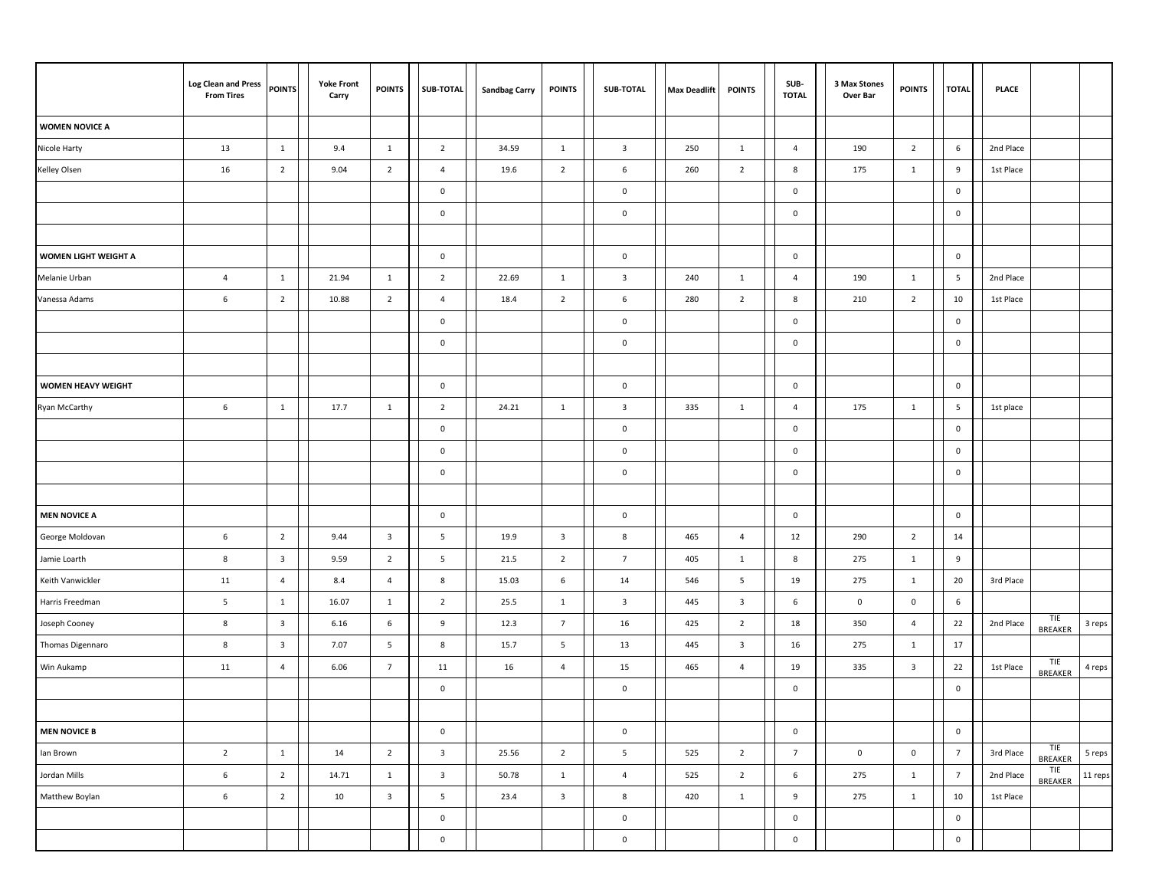|                           | <b>Log Clean and Press</b><br><b>From Tires</b> | <b>POINTS</b>           | <b>Yoke Front</b><br>Carry | <b>POINTS</b>           | SUB-TOTAL               | <b>Sandbag Carry</b> | <b>POINTS</b>           | <b>SUB-TOTAL</b>        | <b>Max Deadlift</b> | <b>POINTS</b>           | SUB-<br><b>TOTAL</b> | 3 Max Stones<br>Over Bar | <b>POINTS</b>           | <b>TOTAL</b>    | <b>PLACE</b> |                       |         |
|---------------------------|-------------------------------------------------|-------------------------|----------------------------|-------------------------|-------------------------|----------------------|-------------------------|-------------------------|---------------------|-------------------------|----------------------|--------------------------|-------------------------|-----------------|--------------|-----------------------|---------|
| <b>WOMEN NOVICE A</b>     |                                                 |                         |                            |                         |                         |                      |                         |                         |                     |                         |                      |                          |                         |                 |              |                       |         |
| Nicole Harty              | 13                                              | 1                       | 9.4                        | $\mathbf{1}$            | $\overline{2}$          | 34.59                | $\mathbf{1}$            | $\overline{\mathbf{3}}$ | 250                 | $\mathbf{1}$            | $\overline{4}$       | 190                      | $\overline{2}$          | 6               | 2nd Place    |                       |         |
| Kelley Olsen              | 16                                              | $\overline{2}$          | 9.04                       | $\overline{2}$          | $\overline{4}$          | 19.6                 | $\overline{2}$          | 6                       | 260                 | $\overline{2}$          | 8                    | 175                      | $\mathbf{1}$            | 9               | 1st Place    |                       |         |
|                           |                                                 |                         |                            |                         | $\pmb{0}$               |                      |                         | $\mathbf 0$             |                     |                         | $\mathbf 0$          |                          |                         | $\mathsf 0$     |              |                       |         |
|                           |                                                 |                         |                            |                         | $\pmb{0}$               |                      |                         | $\mathbf 0$             |                     |                         | $\mathbf 0$          |                          |                         | $\mathbf 0$     |              |                       |         |
|                           |                                                 |                         |                            |                         |                         |                      |                         |                         |                     |                         |                      |                          |                         |                 |              |                       |         |
| WOMEN LIGHT WEIGHT A      |                                                 |                         |                            |                         | $\mathbf 0$             |                      |                         | $\mathbf{0}$            |                     |                         | $\mathbf 0$          |                          |                         | $\mathbf 0$     |              |                       |         |
| Melanie Urban             | $\overline{4}$                                  | $\overline{1}$          | 21.94                      | $\mathbf{1}$            | $\overline{2}$          | 22.69                | $\mathbf{1}$            | $\overline{\mathbf{3}}$ | 240                 | $\mathbf{1}$            | $\overline{4}$       | 190                      | $\mathbf{1}$            | 5               | 2nd Place    |                       |         |
| Vanessa Adams             | 6                                               | $\overline{2}$          | 10.88                      | $\overline{2}$          | $\overline{4}$          | 18.4                 | $\overline{2}$          | 6                       | 280                 | $\overline{2}$          | 8                    | 210                      | $\overline{2}$          | 10              | 1st Place    |                       |         |
|                           |                                                 |                         |                            |                         | $\bf{0}$                |                      |                         | $\mathbf 0$             |                     |                         | 0                    |                          |                         | $\mathsf 0$     |              |                       |         |
|                           |                                                 |                         |                            |                         | $\pmb{0}$               |                      |                         | $\mathbf 0$             |                     |                         | 0                    |                          |                         | $\mathbf 0$     |              |                       |         |
|                           |                                                 |                         |                            |                         |                         |                      |                         |                         |                     |                         |                      |                          |                         |                 |              |                       |         |
| <b>WOMEN HEAVY WEIGHT</b> |                                                 |                         |                            |                         | $\pmb{0}$               |                      |                         | $\mathbf 0$             |                     |                         | 0                    |                          |                         | $\mathsf 0$     |              |                       |         |
| Ryan McCarthy             | 6                                               | $\mathbf{1}$            | 17.7                       | $\mathbf{1}$            | $\overline{2}$          | 24.21                | $\mathbf{1}$            | $\overline{\mathbf{3}}$ | 335                 | $\mathbf{1}$            | 4                    | 175                      | $\mathbf{1}$            | 5               | 1st place    |                       |         |
|                           |                                                 |                         |                            |                         | $\pmb{0}$               |                      |                         | $\mathsf{0}$            |                     |                         | $\mathbf 0$          |                          |                         | $\mathbf 0$     |              |                       |         |
|                           |                                                 |                         |                            |                         | $\pmb{0}$               |                      |                         | $\mathbf 0$             |                     |                         | $\mathbf 0$          |                          |                         | $\mathbf 0$     |              |                       |         |
|                           |                                                 |                         |                            |                         | $\pmb{0}$               |                      |                         | $\mathbf 0$             |                     |                         | 0                    |                          |                         | $\mathbf 0$     |              |                       |         |
|                           |                                                 |                         |                            |                         |                         |                      |                         |                         |                     |                         |                      |                          |                         |                 |              |                       |         |
| <b>MEN NOVICE A</b>       |                                                 |                         |                            |                         | $\pmb{0}$               |                      |                         | $\mathbf 0$             |                     |                         | $\mathbf 0$          |                          |                         | $\mathbf 0$     |              |                       |         |
| George Moldovan           | 6                                               | $\overline{2}$          | 9.44                       | $\overline{\mathbf{3}}$ | 5                       | 19.9                 | $\overline{\mathbf{3}}$ | 8                       | 465                 | $\overline{4}$          | 12                   | 290                      | $\overline{2}$          | 14              |              |                       |         |
| Jamie Loarth              | 8                                               | $\overline{\mathbf{3}}$ | 9.59                       | $\overline{2}$          | 5                       | 21.5                 | $\overline{2}$          | $\overline{7}$          | 405                 | $\mathbf{1}$            | 8                    | 275                      | $\mathbf{1}$            | 9               |              |                       |         |
| Keith Vanwickler          | 11                                              | $\overline{4}$          | 8.4                        | $\overline{a}$          | 8                       | 15.03                | 6                       | 14                      | 546                 | 5                       | 19                   | 275                      | $\mathbf{1}$            | 20              | 3rd Place    |                       |         |
| Harris Freedman           | $5\phantom{.0}$                                 | $\mathbf{1}$            | 16.07                      | $\mathbf{1}$            | $\overline{2}$          | 25.5                 | $\mathbf{1}$            | $\overline{\mathbf{3}}$ | 445                 | $\mathbf{3}$            | 6                    | $\mathbf 0$              | $\mathbf 0$             | 6               |              |                       |         |
| Joseph Cooney             | $8\phantom{1}$                                  | $\overline{\mathbf{3}}$ | 6.16                       | $\,$ 6                  | 9                       | 12.3                 | $\overline{7}$          | 16                      | 425                 | $\overline{2}$          | 18                   | 350                      | $\overline{4}$          | 22              | 2nd Place    | TIE<br>BREAKER        | 3 reps  |
| Thomas Digennaro          | 8                                               | $\overline{\mathbf{3}}$ | 7.07                       | $\overline{5}$          | 8                       | 15.7                 | 5                       | 13                      | 445                 | $\overline{\mathbf{3}}$ | 16                   | 275                      | 1                       | 17              |              |                       |         |
| Win Aukamp                | 11                                              | $\overline{4}$          | 6.06                       | $\overline{7}$          | 11                      | 16                   | $\overline{4}$          | 15                      | 465                 | $\overline{4}$          | 19                   | 335                      | $\overline{\mathbf{3}}$ | 22              | 1st Place    | TIE<br>BREAKER        | 4 reps  |
|                           |                                                 |                         |                            |                         | $\pmb{0}$               |                      |                         | $\mathbf 0$             |                     |                         | $\mathbf 0$          |                          |                         | $\mathbf 0$     |              |                       |         |
|                           |                                                 |                         |                            |                         |                         |                      |                         |                         |                     |                         |                      |                          |                         |                 |              |                       |         |
| <b>MEN NOVICE B</b>       |                                                 |                         |                            |                         | $\pmb{0}$               |                      |                         | $\mathbf 0$             |                     |                         | $\mathbf 0$          |                          |                         | $\mathsf 0$     |              |                       |         |
| lan Brown                 | $\overline{2}$                                  | $\mathbf{1}$            | 14                         | $\overline{2}$          | $\overline{\mathbf{3}}$ | 25.56                | $\overline{2}$          | $5\overline{)}$         | 525                 | $\overline{2}$          | $7\overline{ }$      | $\mathbf 0$              | $\mathsf{O}\xspace$     | $7^{\circ}$     | 3rd Place    | TIE<br><b>BREAKER</b> | 5 reps  |
| Jordan Mills              | 6                                               | $\overline{2}$          | 14.71                      | $\mathbf{1}$            | $\overline{\mathbf{3}}$ | 50.78                | $\mathbf{1}$            | $\overline{4}$          | 525                 | $\overline{2}$          | 6                    | 275                      | $\mathbf{1}$            | $7\overline{ }$ | 2nd Place    | TIE<br>BREAKER        | 11 reps |
| Matthew Boylan            | $\,6\,$                                         | $\overline{2}$          | 10                         | $\overline{\mathbf{3}}$ | $5\phantom{.0}$         | 23.4                 | $\overline{\mathbf{3}}$ | 8                       | 420                 | $\mathbf{1}$            | 9                    | 275                      | $\mathbf{1}$            | 10              | 1st Place    |                       |         |
|                           |                                                 |                         |                            |                         | $\mathbf 0$             |                      |                         | $\mathbf 0$             |                     |                         | $\mathbf 0$          |                          |                         | $\mathbf 0$     |              |                       |         |
|                           |                                                 |                         |                            |                         | $\mathbf 0$             |                      |                         | $\mathbf 0$             |                     |                         | $\mathbf 0$          |                          |                         | $\mathsf 0$     |              |                       |         |